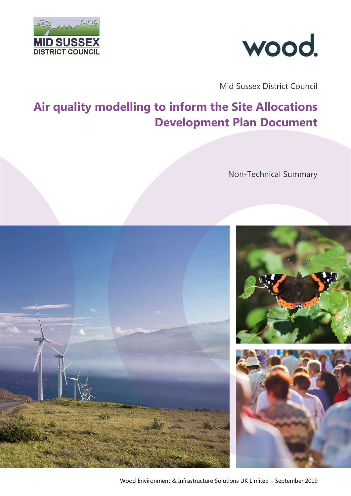



Mid Sussex District Council

## **Air quality modelling to inform the Site Allocations Development Plan Document**

Non-Technical Summary

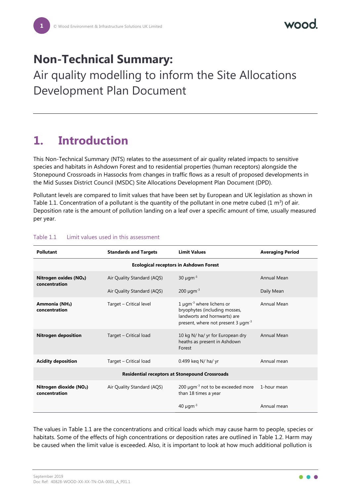### **Non-Technical Summary:**

# Air quality modelling to inform the Site Allocations Development Plan Document

## **1. Introduction**

This Non-Technical Summary (NTS) relates to the assessment of air quality related impacts to sensitive species and habitats in Ashdown Forest and to residential properties (human receptors) alongside the Stonepound Crossroads in Hassocks from changes in traffic flows as a result of proposed developments in the Mid Sussex District Council (MSDC) Site Allocations Development Plan Document (DPD).

Pollutant levels are compared to limit values that have been set by European and UK legislation as shown in [Table 1.1.](#page-1-0) Concentration of a pollutant is the quantity of the pollutant in one metre cubed  $(1 \text{ m}^3)$  of air. Deposition rate is the amount of pollution landing on a leaf over a specific amount of time, usually measured per year.

| <b>Pollutant</b>                                      | <b>Standards and Targets</b> | <b>Limit Values</b>                                                                                                                                               | <b>Averaging Period</b> |  |  |  |
|-------------------------------------------------------|------------------------------|-------------------------------------------------------------------------------------------------------------------------------------------------------------------|-------------------------|--|--|--|
| <b>Ecological receptors in Ashdown Forest</b>         |                              |                                                                                                                                                                   |                         |  |  |  |
| Nitrogen oxides $(NOx)$<br>concentration              | Air Quality Standard (AQS)   | 30 $\mu$ gm <sup>-3</sup>                                                                                                                                         | <b>Annual Mean</b>      |  |  |  |
|                                                       | Air Quality Standard (AQS)   | $200 \mu$ gm <sup>-3</sup>                                                                                                                                        | Daily Mean              |  |  |  |
| Ammonia (NH <sub>3</sub> )<br>concentration           | Target - Critical level      | 1 $\mu$ gm <sup>-3</sup> where lichens or<br>bryophytes (including mosses,<br>landworts and hornwarts) are<br>present, where not present $3 \mu$ gm <sup>-3</sup> | <b>Annual Mean</b>      |  |  |  |
| <b>Nitrogen deposition</b>                            | Target - Critical load       | 10 kg N/ ha/ yr for European dry<br>heaths as present in Ashdown<br>Forest                                                                                        | <b>Annual Mean</b>      |  |  |  |
| <b>Acidity deposition</b>                             | Target - Critical load       | 0.499 keq N/ ha/ yr                                                                                                                                               | Annual mean             |  |  |  |
| <b>Residential receptors at Stonepound Crossroads</b> |                              |                                                                                                                                                                   |                         |  |  |  |
| Nitrogen dioxide (NO <sub>2</sub> )<br>concentration  | Air Quality Standard (AQS)   | 200 $\mu$ gm <sup>-3</sup> not to be exceeded more<br>than 18 times a year                                                                                        | 1-hour mean             |  |  |  |
|                                                       |                              | 40 $\mu$ gm <sup>-3</sup>                                                                                                                                         | Annual mean             |  |  |  |

#### <span id="page-1-0"></span>Table 1.1 Limit values used in this assessment

The values in [Table 1.1](#page-1-0) are the concentrations and critical loads which may cause harm to people, species or habitats. Some of the effects of high concentrations or deposition rates are outlined in [Table 1.2.](#page-2-0) Harm may be caused when the limit value is exceeded. Also, it is important to look at how much additional pollution is

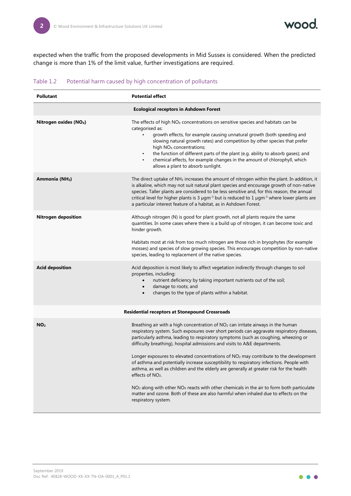

expected when the traffic from the proposed developments in Mid Sussex is considered. When the predicted change is more than 1% of the limit value, further investigations are required.

<span id="page-2-0"></span>

| Table 1.2 | Potential harm caused by high concentration of pollutants |  |  |
|-----------|-----------------------------------------------------------|--|--|
|           |                                                           |  |  |

| <b>Pollutant</b>                                      | <b>Potential effect</b>                                                                                                                                                                                                                                                                                                                                                                                                                                                                                                                                                                                                                                                                   |  |  |  |
|-------------------------------------------------------|-------------------------------------------------------------------------------------------------------------------------------------------------------------------------------------------------------------------------------------------------------------------------------------------------------------------------------------------------------------------------------------------------------------------------------------------------------------------------------------------------------------------------------------------------------------------------------------------------------------------------------------------------------------------------------------------|--|--|--|
|                                                       | <b>Ecological receptors in Ashdown Forest</b>                                                                                                                                                                                                                                                                                                                                                                                                                                                                                                                                                                                                                                             |  |  |  |
| Nitrogen oxides (NO <sub>x</sub> )                    | The effects of high NO <sub>x</sub> concentrations on sensitive species and habitats can be<br>categorised as:<br>growth effects, for example causing unnatural growth (both speeding and<br>slowing natural growth rates) and competition by other species that prefer<br>high NO <sub>x</sub> concentrations;<br>the function of different parts of the plant (e.g. ability to absorb gases); and<br>$\bullet$<br>chemical effects, for example changes in the amount of chlorophyll, which<br>$\bullet$<br>allows a plant to absorb sunlight.                                                                                                                                          |  |  |  |
| Ammonia (NH <sub>3</sub> )                            | The direct uptake of NH <sub>3</sub> increases the amount of nitrogen within the plant. In addition, it<br>is alkaline, which may not suit natural plant species and encourage growth of non-native<br>species. Taller plants are considered to be less sensitive and, for this reason, the annual<br>critical level for higher plants is 3 $\mu$ gm <sup>-3</sup> but is reduced to 1 $\mu$ gm <sup>-3</sup> where lower plants are<br>a particular interest feature of a habitat, as in Ashdown Forest.                                                                                                                                                                                 |  |  |  |
| <b>Nitrogen deposition</b>                            | Although nitrogen (N) is good for plant growth, not all plants require the same<br>quantities. In some cases where there is a build up of nitrogen, it can become toxic and<br>hinder growth.<br>Habitats most at risk from too much nitrogen are those rich in bryophytes (for example<br>mosses) and species of slow growing species. This encourages competition by non-native<br>species, leading to replacement of the native species.                                                                                                                                                                                                                                               |  |  |  |
| <b>Acid deposition</b>                                | Acid deposition is most likely to affect vegetation indirectly through changes to soil<br>properties, including:<br>nutrient deficiency by taking important nutrients out of the soil;<br>damage to roots; and<br>$\bullet$<br>changes to the type of plants within a habitat.                                                                                                                                                                                                                                                                                                                                                                                                            |  |  |  |
| <b>Residential receptors at Stonepound Crossroads</b> |                                                                                                                                                                                                                                                                                                                                                                                                                                                                                                                                                                                                                                                                                           |  |  |  |
| NO <sub>2</sub>                                       | Breathing air with a high concentration of NO <sub>2</sub> can irritate airways in the human<br>respiratory system. Such exposures over short periods can aggravate respiratory diseases,<br>particularly asthma, leading to respiratory symptoms (such as coughing, wheezing or<br>difficulty breathing), hospital admissions and visits to A&E departments.<br>Longer exposures to elevated concentrations of NO <sub>2</sub> may contribute to the development<br>of asthma and potentially increase susceptibility to respiratory infections. People with<br>asthma, as well as children and the elderly are generally at greater risk for the health<br>effects of NO <sub>2</sub> . |  |  |  |
|                                                       | $NO2$ along with other $NOx$ reacts with other chemicals in the air to form both particulate<br>matter and ozone. Both of these are also harmful when inhaled due to effects on the<br>respiratory system.                                                                                                                                                                                                                                                                                                                                                                                                                                                                                |  |  |  |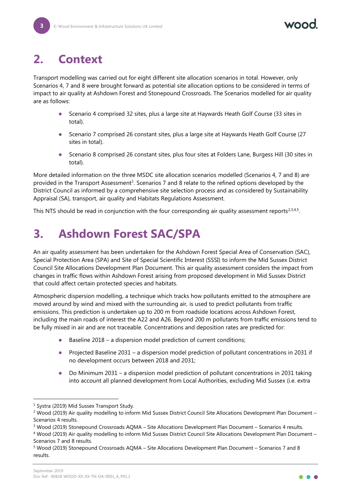## **2. Context**

Transport modelling was carried out for eight different site allocation scenarios in total. However, only Scenarios 4, 7 and 8 were brought forward as potential site allocation options to be considered in terms of impact to air quality at Ashdown Forest and Stonepound Crossroads. The Scenarios modelled for air quality are as follows:

- Scenario 4 comprised 32 sites, plus a large site at Haywards Heath Golf Course (33 sites in total).
- ⚫ Scenario 7 comprised 26 constant sites, plus a large site at Haywards Heath Golf Course (27 sites in total).
- Scenario 8 comprised 26 constant sites, plus four sites at Folders Lane, Burgess Hill (30 sites in total).

More detailed information on the three MSDC site allocation scenarios modelled (Scenarios 4, 7 and 8) are provided in the Transport Assessment<sup>1</sup>. Scenarios 7 and 8 relate to the refined options developed by the District Council as informed by a comprehensive site selection process and as considered by Sustainability Appraisal (SA), transport, air quality and Habitats Regulations Assessment.

This NTS should be read in conjunction with the four corresponding air quality assessment reports<sup>2,3,4,5</sup>.

## **3. Ashdown Forest SAC/SPA**

An air quality assessment has been undertaken for the Ashdown Forest Special Area of Conservation (SAC), Special Protection Area (SPA) and Site of Special Scientific Interest (SSSI) to inform the Mid Sussex District Council Site Allocations Development Plan Document. This air quality assessment considers the impact from changes in traffic flows within Ashdown Forest arising from proposed development in Mid Sussex District that could affect certain protected species and habitats.

Atmospheric dispersion modelling, a technique which tracks how pollutants emitted to the atmosphere are moved around by wind and mixed with the surrounding air, is used to predict pollutants from traffic emissions. This prediction is undertaken up to 200 m from roadside locations across Ashdown Forest, including the main roads of interest the A22 and A26. Beyond 200 m pollutants from traffic emissions tend to be fully mixed in air and are not traceable. Concentrations and deposition rates are predicted for:

- Baseline 2018 a dispersion model prediction of current conditions;
- Projected Baseline 2031 a dispersion model prediction of pollutant concentrations in 2031 if no development occurs between 2018 and 2031;
- Do Minimum 2031 a dispersion model prediction of pollutant concentrations in 2031 taking into account all planned development from Local Authorities, excluding Mid Sussex (i.e. extra

**.** 



<sup>&</sup>lt;sup>1</sup> Systra (2019) Mid Sussex Transport Study.

<sup>&</sup>lt;sup>2</sup> Wood (2019) Air quality modelling to inform Mid Sussex District Council Site Allocations Development Plan Document – Scenarios 4 results.

<sup>3</sup> Wood (2019) Stonepound Crossroads AQMA – Site Allocations Development Plan Document – Scenarios 4 results.

<sup>4</sup> Wood (2019) Air quality modelling to inform Mid Sussex District Council Site Allocations Development Plan Document – Scenarios 7 and 8 results.

<sup>5</sup> Wood (2019) Stonepound Crossroads AQMA – Site Allocations Development Plan Document – Scenarios 7 and 8 results.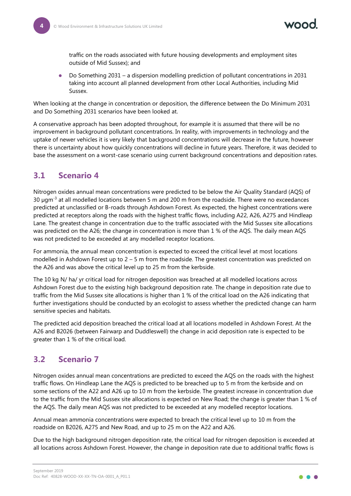traffic on the roads associated with future housing developments and employment sites outside of Mid Sussex); and

● Do Something 2031 – a dispersion modelling prediction of pollutant concentrations in 2031 taking into account all planned development from other Local Authorities, including Mid Sussex.

When looking at the change in concentration or deposition, the difference between the Do Minimum 2031 and Do Something 2031 scenarios have been looked at.

A conservative approach has been adopted throughout, for example it is assumed that there will be no improvement in background pollutant concentrations. In reality, with improvements in technology and the uptake of newer vehicles it is very likely that background concentrations will decrease in the future, however there is uncertainty about how quickly concentrations will decline in future years. Therefore, it was decided to base the assessment on a worst-case scenario using current background concentrations and deposition rates.

### **3.1 Scenario 4**

Nitrogen oxides annual mean concentrations were predicted to be below the Air Quality Standard (AQS) of 30 µgm-3 at all modelled locations between 5 m and 200 m from the roadside. There were no exceedances predicted at unclassified or B-roads through Ashdown Forest. As expected, the highest concentrations were predicted at receptors along the roads with the highest traffic flows, including A22, A26, A275 and Hindleap Lane. The greatest change in concentration due to the traffic associated with the Mid Sussex site allocations was predicted on the A26; the change in concentration is more than 1 % of the AQS. The daily mean AQS was not predicted to be exceeded at any modelled receptor locations.

For ammonia, the annual mean concentration is expected to exceed the critical level at most locations modelled in Ashdown Forest up to 2 – 5 m from the roadside. The greatest concentration was predicted on the A26 and was above the critical level up to 25 m from the kerbside.

The 10 kg N/ ha/ yr critical load for nitrogen deposition was breached at all modelled locations across Ashdown Forest due to the existing high background deposition rate. The change in deposition rate due to traffic from the Mid Sussex site allocations is higher than 1 % of the critical load on the A26 indicating that further investigations should be conducted by an ecologist to assess whether the predicted change can harm sensitive species and habitats.

The predicted acid deposition breached the critical load at all locations modelled in Ashdown Forest. At the A26 and B2026 (between Fairwarp and Duddleswell) the change in acid deposition rate is expected to be greater than 1 % of the critical load.

### **3.2 Scenario 7**

Nitrogen oxides annual mean concentrations are predicted to exceed the AQS on the roads with the highest traffic flows. On Hindleap Lane the AQS is predicted to be breached up to 5 m from the kerbside and on some sections of the A22 and A26 up to 10 m from the kerbside. The greatest increase in concentration due to the traffic from the Mid Sussex site allocations is expected on New Road; the change is greater than 1 % of the AQS. The daily mean AQS was not predicted to be exceeded at any modelled receptor locations.

Annual mean ammonia concentrations were expected to breach the critical level up to 10 m from the roadside on B2026, A275 and New Road, and up to 25 m on the A22 and A26.

Due to the high background nitrogen deposition rate, the critical load for nitrogen deposition is exceeded at all locations across Ashdown Forest. However, the change in deposition rate due to additional traffic flows is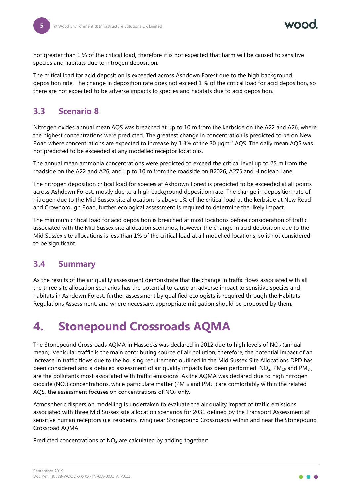not greater than 1 % of the critical load, therefore it is not expected that harm will be caused to sensitive species and habitats due to nitrogen deposition.

The critical load for acid deposition is exceeded across Ashdown Forest due to the high background deposition rate. The change in deposition rate does not exceed 1 % of the critical load for acid deposition, so there are not expected to be adverse impacts to species and habitats due to acid deposition.

### **3.3 Scenario 8**

Nitrogen oxides annual mean AQS was breached at up to 10 m from the kerbside on the A22 and A26, where the highest concentrations were predicted. The greatest change in concentration is predicted to be on New Road where concentrations are expected to increase by 1.3% of the 30  $\mu$ gm<sup>-3</sup> AQS. The daily mean AQS was not predicted to be exceeded at any modelled receptor locations.

The annual mean ammonia concentrations were predicted to exceed the critical level up to 25 m from the roadside on the A22 and A26, and up to 10 m from the roadside on B2026, A275 and Hindleap Lane.

The nitrogen deposition critical load for species at Ashdown Forest is predicted to be exceeded at all points across Ashdown Forest, mostly due to a high background deposition rate. The change in deposition rate of nitrogen due to the Mid Sussex site allocations is above 1% of the critical load at the kerbside at New Road and Crowborough Road, further ecological assessment is required to determine the likely impact.

The minimum critical load for acid deposition is breached at most locations before consideration of traffic associated with the Mid Sussex site allocation scenarios, however the change in acid deposition due to the Mid Sussex site allocations is less than 1% of the critical load at all modelled locations, so is not considered to be significant.

### **3.4 Summary**

As the results of the air quality assessment demonstrate that the change in traffic flows associated with all the three site allocation scenarios has the potential to cause an adverse impact to sensitive species and habitats in Ashdown Forest, further assessment by qualified ecologists is required through the Habitats Regulations Assessment, and where necessary, appropriate mitigation should be proposed by them.

### **4. Stonepound Crossroads AQMA**

The Stonepound Crossroads AQMA in Hassocks was declared in 2012 due to high levels of  $NO<sub>2</sub>$  (annual mean). Vehicular traffic is the main contributing source of air pollution, therefore, the potential impact of an increase in traffic flows due to the housing requirement outlined in the Mid Sussex Site Allocations DPD has been considered and a detailed assessment of air quality impacts has been performed.  $NO<sub>2</sub>$ , PM<sub>10</sub> and PM<sub>2.5</sub> are the pollutants most associated with traffic emissions. As the AQMA was declared due to high nitrogen dioxide (NO<sub>2</sub>) concentrations, while particulate matter (PM<sub>10</sub> and PM<sub>2.5</sub>) are comfortably within the related AQS, the assessment focuses on concentrations of  $NO<sub>2</sub>$  only.

Atmospheric dispersion modelling is undertaken to evaluate the air quality impact of traffic emissions associated with three Mid Sussex site allocation scenarios for 2031 defined by the Transport Assessment at sensitive human receptors (i.e. residents living near Stonepound Crossroads) within and near the Stonepound Crossroad AQMA.

Predicted concentrations of NO<sub>2</sub> are calculated by adding together:

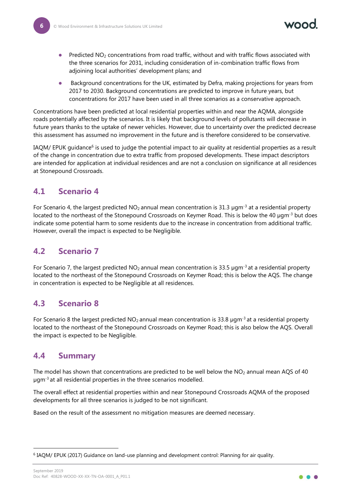- $\bullet$  Predicted NO<sub>2</sub> concentrations from road traffic, without and with traffic flows associated with the three scenarios for 2031, including consideration of in-combination traffic flows from adjoining local authorities' development plans; and
- Background concentrations for the UK, estimated by Defra, making projections for years from 2017 to 2030. Background concentrations are predicted to improve in future years, but concentrations for 2017 have been used in all three scenarios as a conservative approach.

Concentrations have been predicted at local residential properties within and near the AQMA, alongside roads potentially affected by the scenarios. It is likely that background levels of pollutants will decrease in future years thanks to the uptake of newer vehicles. However, due to uncertainty over the predicted decrease this assessment has assumed no improvement in the future and is therefore considered to be conservative.

IAQM/ EPUK guidance<sup>6</sup> is used to judge the potential impact to air quality at residential properties as a result of the change in concentration due to extra traffic from proposed developments. These impact descriptors are intended for application at individual residences and are not a conclusion on significance at all residences at Stonepound Crossroads.

#### **4.1 Scenario 4**

For Scenario 4, the largest predicted  $NO<sub>2</sub>$  annual mean concentration is 31.3  $\mu$ gm<sup>-3</sup> at a residential property located to the northeast of the Stonepound Crossroads on Keymer Road. This is below the 40 µgm<sup>-3</sup> but does indicate some potential harm to some residents due to the increase in concentration from additional traffic. However, overall the impact is expected to be Negligible.

#### **4.2 Scenario 7**

For Scenario 7, the largest predicted  $NO<sub>2</sub>$  annual mean concentration is 33.5  $\mu$ gm<sup>-3</sup> at a residential property located to the northeast of the Stonepound Crossroads on Keymer Road; this is below the AQS. The change in concentration is expected to be Negligible at all residences.

### **4.3 Scenario 8**

For Scenario 8 the largest predicted  $NO<sub>2</sub>$  annual mean concentration is 33.8  $\mu$ gm<sup>-3</sup> at a residential property located to the northeast of the Stonepound Crossroads on Keymer Road; this is also below the AQS. Overall the impact is expected to be Negligible.

#### **4.4 Summary**

 $\overline{a}$ 

The model has shown that concentrations are predicted to be well below the  $NO<sub>2</sub>$  annual mean AQS of 40  $\mu$ gm<sup>-3</sup> at all residential properties in the three scenarios modelled.

The overall effect at residential properties within and near Stonepound Crossroads AQMA of the proposed developments for all three scenarios is judged to be not significant.

Based on the result of the assessment no mitigation measures are deemed necessary.

<sup>6</sup> IAQM/ EPUK (2017) Guidance on land-use planning and development control: Planning for air quality.